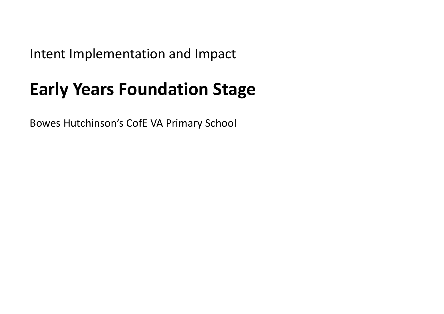Intent Implementation and Impact

## **Early Years Foundation Stage**

Bowes Hutchinson's CofE VA Primary School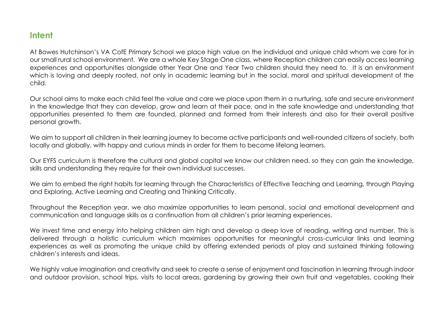## **Intent**

At Bowes Hutchinson's VA CofE Primary School we place high value on the individual and unique child whom we care for in our small rural school environment. We are a whole Key Stage One class, where Reception children can easily access learning experiences and opportunities alongside other Year One and Year Two children should they need to. It is an environment which is loving and deeply rooted, not only in academic learning but in the social, moral and spiritual development of the child.

Our school aims to make each child feel the value and care we place upon them in a nurturing, safe and secure environment in the knowledge that they can develop, grow and learn at their pace, and in the safe knowledge and understanding that opportunities presented to them are founded, planned and formed from their interests and also for their overall positive personal growth.

We aim to support all children in their learning journey to become active participants and well-rounded citizens of society, both locally and globally, with happy and curious minds in order for them to become lifelong learners.

Our EYFS curriculum is therefore the cultural and global capital we know our children need, so they can gain the knowledge, skills and understanding they require for their own individual successes.

We aim to embed the right habits for learning through the Characteristics of Effective Teaching and Learning, through Playing and Exploring, Active Learning and Creating and Thinking Critically.

Throughout the Reception year, we also maximize opportunities to learn personal, social and emotional development and communication and language skills as a continuation from all children's prior learning experiences.

We invest time and energy into helping children aim high and develop a deep love of reading, writing and number. This is delivered through a holistic curriculum which maximises opportunities for meaningful cross-curricular links and learning experiences as well as promoting the unique child by offering extended periods of play and sustained thinking following children's interests and ideas.

We highly value imagination and creativity and seek to create a sense of enjoyment and fascination in learning through indoor and outdoor provision, school trips, visits to local areas, gardening by growing their own fruit and vegetables, cooking their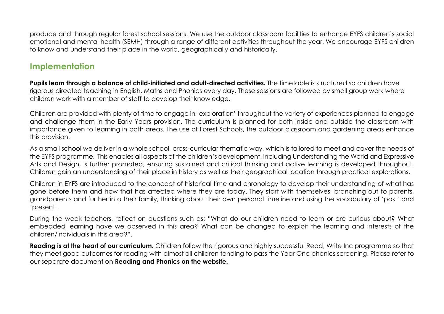produce and through regular forest school sessions. We use the outdoor classroom facilities to enhance EYFS children's social emotional and mental health (SEMH) through a range of different activities throughout the year. We encourage EYFS children to know and understand their place in the world, geographically and historically.

## **Implementation**

Pupils learn through a balance of child-initiated and adult-directed activities. The timetable is structured so children have rigorous directed teaching in English, Maths and Phonics every day. These sessions are followed by small group work where children work with a member of staff to develop their knowledge.

Children are provided with plenty of time to engage in 'exploration' throughout the variety of experiences planned to engage and challenge them in the Early Years provision. The curriculum is planned for both inside and outside the classroom with importance given to learning in both areas. The use of Forest Schools, the outdoor classroom and gardening areas enhance this provision.

As a small school we deliver in a whole school, cross-curricular thematic way, which is tailored to meet and cover the needs of the EYFS programme. This enables all aspects of the children's development, including Understanding the World and Expressive Arts and Design, is further promoted, ensuring sustained and critical thinking and active learning is developed throughout. Children gain an understanding of their place in history as well as their geographical location through practical explorations.

Children in EYFS are introduced to the concept of historical time and chronology to develop their understanding of what has gone before them and how that has affected where they are today. They start with themselves, branching out to parents, grandparents and further into their family, thinking about their own personal timeline and using the vocabulary of 'past' and 'present'.

During the week teachers, reflect on questions such as: "What do our children need to learn or are curious about? What embedded learning have we observed in this area? What can be changed to exploit the learning and interests of the children/individuals in this area?".

**Reading is at the heart of our curriculum.** Children follow the rigorous and highly successful Read, Write Inc programme so that they meet good outcomes for reading with almost all children tending to pass the Year One phonics screening. Please refer to our separate document on **Reading and Phonics on the website.**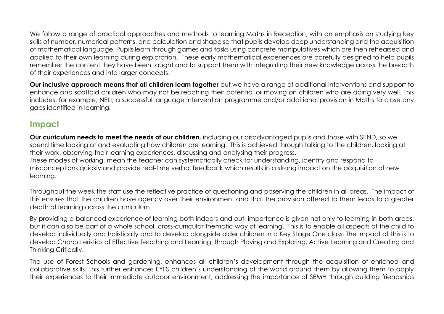We follow a range of practical approaches and methods to learning Maths in Reception, with an emphasis on studying key skills of number, numerical patterns, and calculation and shape so that pupils develop deep understanding and the acquisition of mathematical language. Pupils learn through games and tasks using concrete manipulatives which are then rehearsed and applied to their own learning during exploration. These early mathematical experiences are carefully designed to help pupils remember the content they have been taught and to support them with integrating their new knowledge across the breadth of their experiences and into larger concepts.

**Our inclusive approach means that all children learn together** but we have a range of additional interventions and support to enhance and scaffold children who may not be reaching their potential or moving on children who are doing very well. This includes, for example, NELI, a successful language intervention programme and/or additional provision in Maths to close any gaps identified in learning.

## **Impact**

**Our curriculum needs to meet the needs of our children**, including our disadvantaged pupils and those with SEND, so we spend time looking at and evaluating how children are learning. This is achieved through talking to the children, looking at their work, observing their learning experiences, discussing and analysing their progress. These modes of working, mean the teacher can systematically check for understanding, identify and respond to misconceptions quickly and provide real-time verbal feedback which results in a strong impact on the acquisition of new learning.

Throughout the week the staff use the reflective practice of questioning and observing the children in all areas. The impact of this ensures that the children have agency over their environment and that the provision offered to them leads to a greater depth of learning across the curriculum.

By providing a balanced experience of learning both indoors and out, importance is given not only to learning in both areas, but it can also be part of a whole school, cross-curricular thematic way of learning. This is to enable all aspects of the child to develop individually and holistically and to develop alongside older children in a Key Stage One class. The impact of this is to develop Characteristics of Effective Teaching and Learning, through Playing and Exploring, Active Learning and Creating and Thinking Critically.

The use of Forest Schools and gardening, enhances all children's development through the acquisition of enriched and collaborative skills. This further enhances EYFS children's understanding of the world around them by allowing them to apply their experiences to their immediate outdoor environment, addressing the importance of SEMH through building friendships